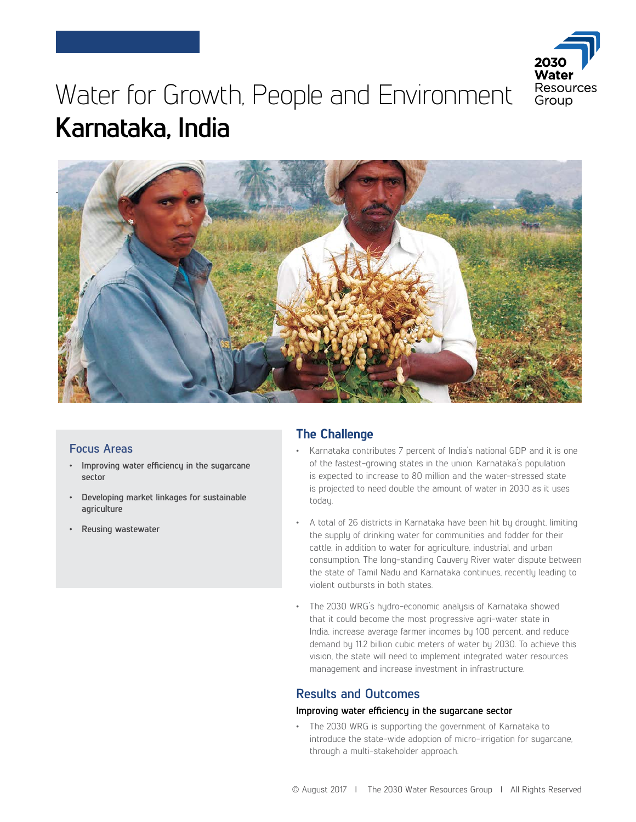

# Water for Growth, People and Environment **Karnataka, India**



### **Focus Areas**

- **Improving water efficiency in the sugarcane sector**
- **Developing market linkages for sustainable agriculture**
- **Reusing wastewater**

## **The Challenge**

- Karnataka contributes 7 percent of India's national GDP and it is one of the fastest-growing states in the union. Karnataka's population is expected to increase to 80 million and the water-stressed state is projected to need double the amount of water in 2030 as it uses today.
- A total of 26 districts in Karnataka have been hit by drought, limiting the supply of drinking water for communities and fodder for their cattle, in addition to water for agriculture, industrial, and urban consumption. The long-standing Cauvery River water dispute between the state of Tamil Nadu and Karnataka continues, recently leading to violent outbursts in both states.
- The 2030 WRG's hydro-economic analysis of Karnataka showed that it could become the most progressive agri-water state in India, increase average farmer incomes by 100 percent, and reduce demand by 11.2 billion cubic meters of water by 2030. To achieve this vision, the state will need to implement integrated water resources management and increase investment in infrastructure.

## **Results and Outcomes**

#### **Improving water efficiency in the sugarcane sector**

• The 2030 WRG is supporting the government of Karnataka to introduce the state-wide adoption of micro-irrigation for sugarcane, through a multi-stakeholder approach.